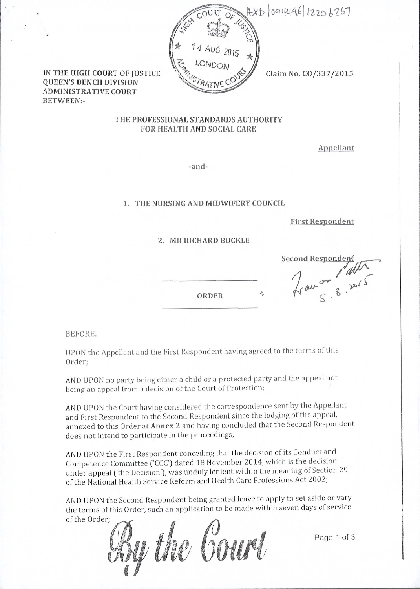

IN THE HIGH COURT OF IUSTICE **QUEEN'S BENCH DIVISION ADMINISTRATIVE COURT BETWEEN:-**

Claim No. CO/337/2015

### THE PROFESSIONAL STANDARDS AUTHORITY FOR HEALTH AND SOCIAL CARE

Appellant

-and-

#### 1. THE NURSING AND MIDWIFERY COUNCIL

**First Respondent** 

#### 2. MR RICHARD BUCKLE

ORDER

France 8.2015 **Second Responder** 

**BEFORE:** 

UPON the Appellant and the First Respondent having agreed to the terms of this Order;

AND UPON no party being either a child or a protected party and the appeal not being an appeal from a decision of the Court of Protection;

AND UPON the Court having considered the correspondence sent by the Appellant and First Respondent to the Second Respondent since the lodging of the appeal, annexed to this Order at Annex 2 and having concluded that the Second Respondent does not intend to participate in the proceedings;

AND UPON the First Respondent conceding that the decision of its Conduct and Competence Committee ('CCC') dated 18 November 2014, which is the decision under appeal ('the Decision'), was unduly lenient within the meaning of Section 29 of the National Health Service Reform and Health Care Professions Act 2002;

AND UPON the Second Respondent being granted leave to apply to set aside or vary the terms of this Order, such an application to be made within seven days of service of the Order:

the Court

Page 1 of 3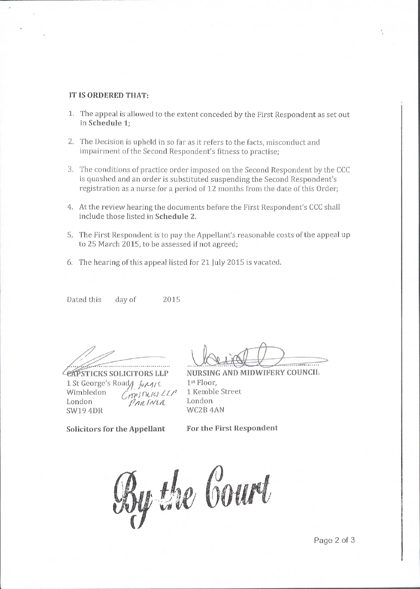### IT IS ORDERED THAT:

- 1. The appeal is allowed to the extent conceded by the First Respondent as set out in Schedule 1;
- 2. The Decision is upheld in so far as it refers to the facts, misconduct and impairment of the Second Respondent's fitness to practise;
- 3. The conditions of practice order imposed on the Second Respondent by the CCC is quashed and an order is substituted suspending the Second Respondent's registration as a nurse for a period of 12 months from the date of this Order;
- 4. At the review hearing the documents before the First Respondent's CCC shall include those listed in Schedule 2.
- 5. The First Respondent is to pay the Appellant's reasonable costs of the appeal up to 25 March 2015, to be assessed if not agreed;
- 6. The hearing of this appeal listed for 21 July 2015 is vacated.

Dated this day of 2015

1 St George's Road<sub>/</sub>  $\int_{\mathcal{U}} \mu_{\mathcal{U}} f(x) dx$ <br>Wimbledon *Crip*  $\int_{\mathcal{U}} \mu_{\mathcal{U}} f(x) dx$ PARTNER SW19 4DR

STICKS SOLICITORS LLP NURSING AND MIDWIFERY COUNCIL lst Floor, 1 Kemble Street London WC2B 4AN

Solicitors for the Appellant

For the First Respondent

y the Gourt  $\overline{\mathbf{a}}$